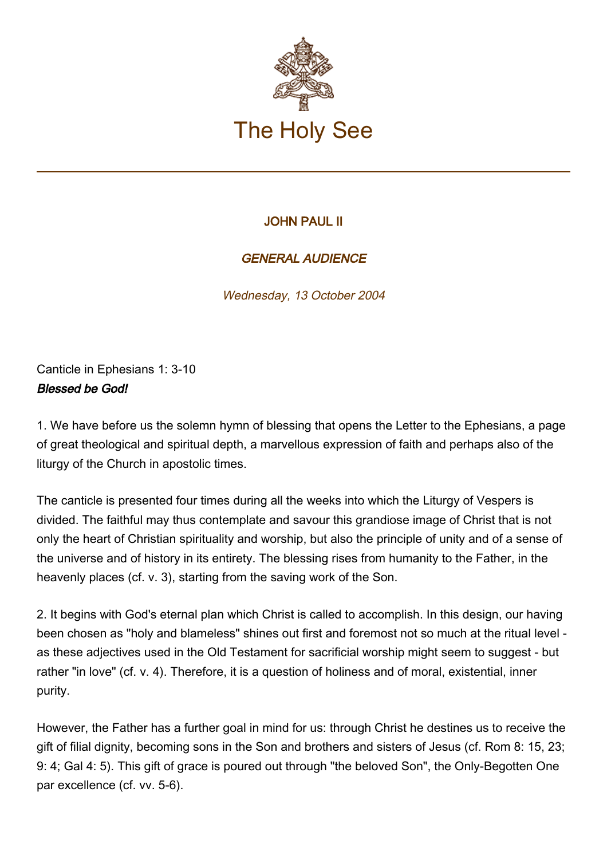

## JOHN PAUL II

## GENERAL AUDIENCE

Wednesday, 13 October 2004

Canticle in Ephesians 1: 3-10 Blessed be God!

1. We have before us the solemn hymn of blessing that opens the Letter to the Ephesians, a page of great theological and spiritual depth, a marvellous expression of faith and perhaps also of the liturgy of the Church in apostolic times.

The canticle is presented four times during all the weeks into which the Liturgy of Vespers is divided. The faithful may thus contemplate and savour this grandiose image of Christ that is not only the heart of Christian spirituality and worship, but also the principle of unity and of a sense of the universe and of history in its entirety. The blessing rises from humanity to the Father, in the heavenly places (cf. v. 3), starting from the saving work of the Son.

2. It begins with God's eternal plan which Christ is called to accomplish. In this design, our having been chosen as "holy and blameless" shines out first and foremost not so much at the ritual level as these adjectives used in the Old Testament for sacrificial worship might seem to suggest - but rather "in love" (cf. v. 4). Therefore, it is a question of holiness and of moral, existential, inner purity.

However, the Father has a further goal in mind for us: through Christ he destines us to receive the gift of filial dignity, becoming sons in the Son and brothers and sisters of Jesus (cf. Rom 8: 15, 23; 9: 4; Gal 4: 5). This gift of grace is poured out through "the beloved Son", the Only-Begotten One par excellence (cf. vv. 5-6).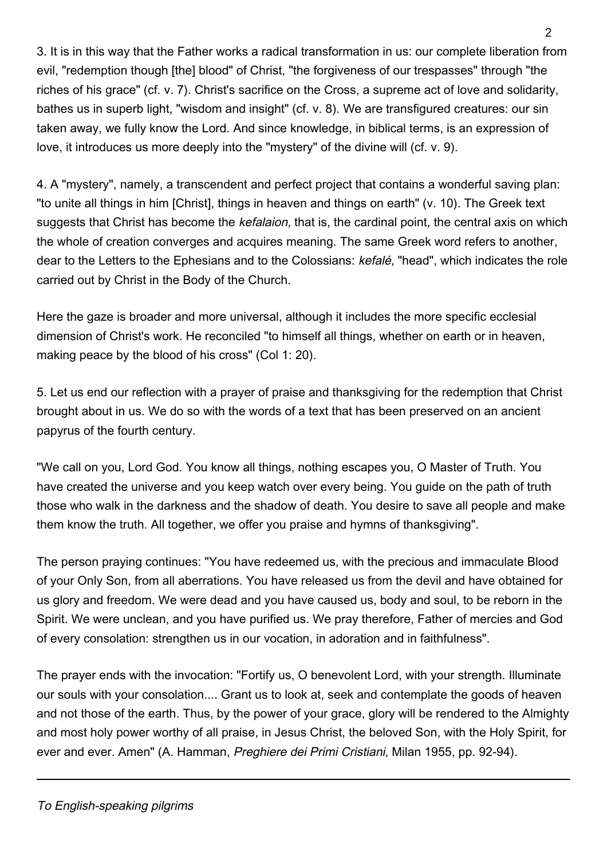3. It is in this way that the Father works a radical transformation in us: our complete liberation from evil, "redemption though [the] blood" of Christ, "the forgiveness of our trespasses" through "the riches of his grace" (cf. v. 7). Christ's sacrifice on the Cross, a supreme act of love and solidarity, bathes us in superb light, "wisdom and insight" (cf. v. 8). We are transfigured creatures: our sin taken away, we fully know the Lord. And since knowledge, in biblical terms, is an expression of love, it introduces us more deeply into the "mystery" of the divine will (cf. v. 9).

4. A "mystery", namely, a transcendent and perfect project that contains a wonderful saving plan: "to unite all things in him [Christ], things in heaven and things on earth" (v. 10). The Greek text suggests that Christ has become the *kefalaion*, that is, the cardinal point, the central axis on which the whole of creation converges and acquires meaning. The same Greek word refers to another, dear to the Letters to the Ephesians and to the Colossians: kefalé, "head", which indicates the role carried out by Christ in the Body of the Church.

Here the gaze is broader and more universal, although it includes the more specific ecclesial dimension of Christ's work. He reconciled "to himself all things, whether on earth or in heaven, making peace by the blood of his cross" (Col 1: 20).

5. Let us end our reflection with a prayer of praise and thanksgiving for the redemption that Christ brought about in us. We do so with the words of a text that has been preserved on an ancient papyrus of the fourth century.

"We call on you, Lord God. You know all things, nothing escapes you, O Master of Truth. You have created the universe and you keep watch over every being. You guide on the path of truth those who walk in the darkness and the shadow of death. You desire to save all people and make them know the truth. All together, we offer you praise and hymns of thanksgiving".

The person praying continues: "You have redeemed us, with the precious and immaculate Blood of your Only Son, from all aberrations. You have released us from the devil and have obtained for us glory and freedom. We were dead and you have caused us, body and soul, to be reborn in the Spirit. We were unclean, and you have purified us. We pray therefore, Father of mercies and God of every consolation: strengthen us in our vocation, in adoration and in faithfulness".

The prayer ends with the invocation: "Fortify us, O benevolent Lord, with your strength. Illuminate our souls with your consolation.... Grant us to look at, seek and contemplate the goods of heaven and not those of the earth. Thus, by the power of your grace, glory will be rendered to the Almighty and most holy power worthy of all praise, in Jesus Christ, the beloved Son, with the Holy Spirit, for ever and ever. Amen" (A. Hamman, Preghiere dei Primi Cristiani, Milan 1955, pp. 92-94).